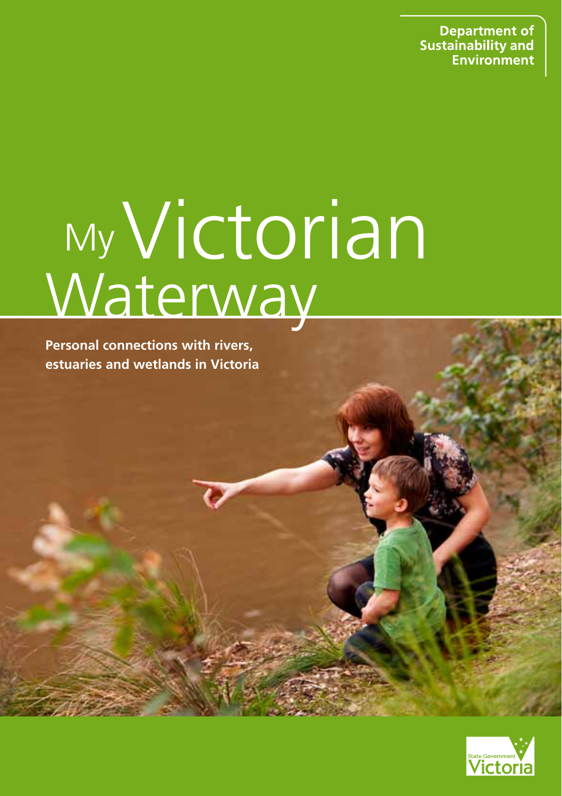**Department of Sustainability and** Environment

# Waterway **My Victorian**

**Personal connections with rivers, estuaries and wetlands in Victoria**

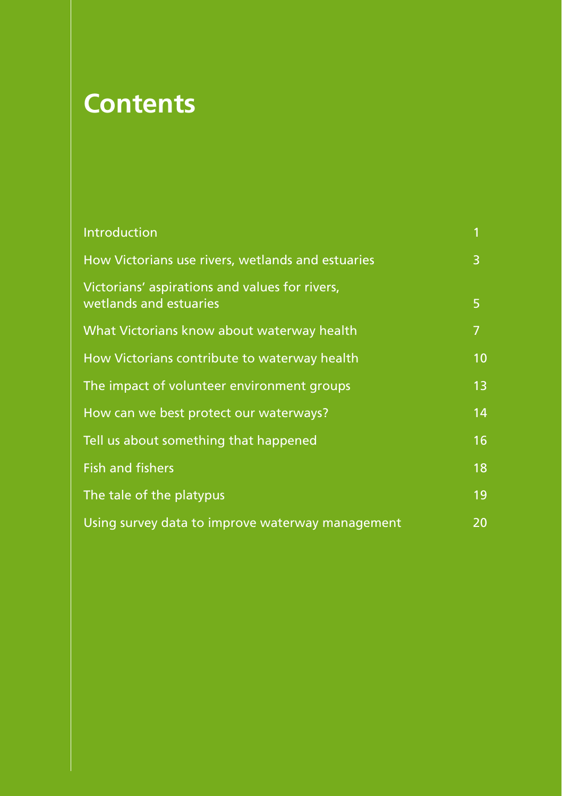# **Contents**

| Introduction                                                             | 1  |
|--------------------------------------------------------------------------|----|
| How Victorians use rivers, wetlands and estuaries                        | 3  |
| Victorians' aspirations and values for rivers,<br>wetlands and estuaries | 5  |
| What Victorians know about waterway health                               | 7  |
| How Victorians contribute to waterway health                             | 10 |
| The impact of volunteer environment groups                               | 13 |
| How can we best protect our waterways?                                   | 14 |
| Tell us about something that happened                                    | 16 |
| <b>Fish and fishers</b>                                                  | 18 |
| The tale of the platypus                                                 | 19 |
| Using survey data to improve waterway management                         | 20 |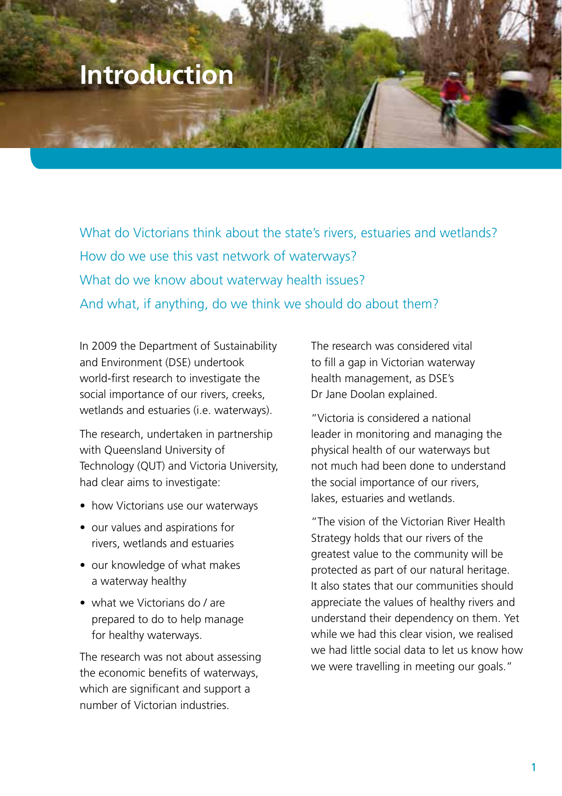### **Introduction**

What do Victorians think about the state's rivers, estuaries and wetlands? How do we use this vast network of waterways? What do we know about waterway health issues? And what, if anything, do we think we should do about them?

In 2009 the Department of Sustainability and Environment (DSE) undertook world-first research to investigate the social importance of our rivers, creeks, wetlands and estuaries (i.e. waterways).

The research, undertaken in partnership with Queensland University of Technology (QUT) and Victoria University, had clear aims to investigate:

- how Victorians use our waterways
- our values and aspirations for rivers, wetlands and estuaries
- our knowledge of what makes a waterway healthy
- what we Victorians do / are prepared to do to help manage for healthy waterways.

The research was not about assessing the economic benefits of waterways, which are significant and support a number of Victorian industries.

The research was considered vital to fill a gap in Victorian waterway health management, as DSE's Dr Jane Doolan explained.

"Victoria is considered a national leader in monitoring and managing the physical health of our waterways but not much had been done to understand the social importance of our rivers, lakes, estuaries and wetlands.

"The vision of the Victorian River Health Strategy holds that our rivers of the greatest value to the community will be protected as part of our natural heritage. It also states that our communities should appreciate the values of healthy rivers and understand their dependency on them. Yet while we had this clear vision, we realised we had little social data to let us know how we were travelling in meeting our goals."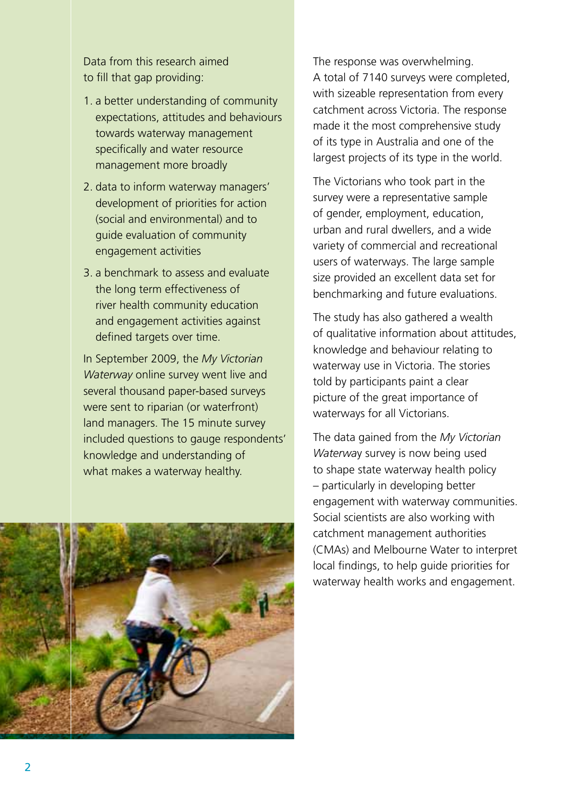Data from this research aimed to fill that gap providing:

- 1. a better understanding of community expectations, attitudes and behaviours towards waterway management specifically and water resource management more broadly
- 2. data to inform waterway managers' development of priorities for action (social and environmental) and to guide evaluation of community engagement activities
- 3. a benchmark to assess and evaluate the long term effectiveness of river health community education and engagement activities against defined targets over time.

In September 2009, the *My Victorian Waterway* online survey went live and several thousand paper-based surveys were sent to riparian (or waterfront) land managers. The 15 minute survey included questions to gauge respondents' knowledge and understanding of what makes a waterway healthy.



The response was overwhelming. A total of 7140 surveys were completed, with sizeable representation from every catchment across Victoria. The response made it the most comprehensive study of its type in Australia and one of the largest projects of its type in the world.

The Victorians who took part in the survey were a representative sample of gender, employment, education, urban and rural dwellers, and a wide variety of commercial and recreational users of waterways. The large sample size provided an excellent data set for benchmarking and future evaluations.

The study has also gathered a wealth of qualitative information about attitudes, knowledge and behaviour relating to waterway use in Victoria. The stories told by participants paint a clear picture of the great importance of waterways for all Victorians.

The data gained from the *My Victorian Waterwa*y survey is now being used to shape state waterway health policy – particularly in developing better engagement with waterway communities. Social scientists are also working with catchment management authorities (CMAs) and Melbourne Water to interpret local findings, to help guide priorities for waterway health works and engagement.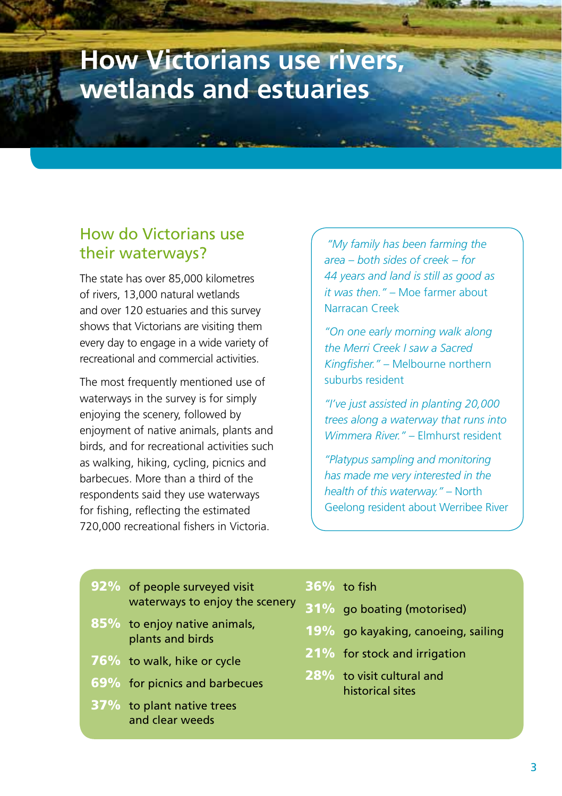### **How Victorians use rivers, wetlands and estuaries**

### How do Victorians use their waterways?

The state has over 85,000 kilometres of rivers, 13,000 natural wetlands and over 120 estuaries and this survey shows that Victorians are visiting them every day to engage in a wide variety of recreational and commercial activities.

The most frequently mentioned use of waterways in the survey is for simply enjoying the scenery, followed by enjoyment of native animals, plants and birds, and for recreational activities such as walking, hiking, cycling, picnics and barbecues. More than a third of the respondents said they use waterways for fishing, reflecting the estimated 720,000 recreational fishers in Victoria.

*"My family has been farming the area – both sides of creek – for 44 years and land is still as good as it was then." –* Moe farmer about Narracan Creek

*"On one early morning walk along the Merri Creek I saw a Sacred Kingfisher."* – Melbourne northern suburbs resident

*"I've just assisted in planting 20,000 trees along a waterway that runs into Wimmera River."* – Elmhurst resident

*"Platypus sampling and monitoring has made me very interested in the health of this waterway."* – North Geelong resident about Werribee River

| 92% of people surveyed visit                        | 36% to fish                                 |
|-----------------------------------------------------|---------------------------------------------|
| waterways to enjoy the scenery                      | 31% go boating (mot                         |
| 85% to enjoy native animals,<br>plants and birds    | 19% go kayaking, can                        |
| 76% to walk, hike or cycle                          | 21% for stock and irri                      |
| 69% for picnics and barbecues                       | 28% to visit cultural a<br>historical sites |
| <b>37%</b> to plant native trees<br>and clear weeds |                                             |

- orised)
- oeing, sailing
- aation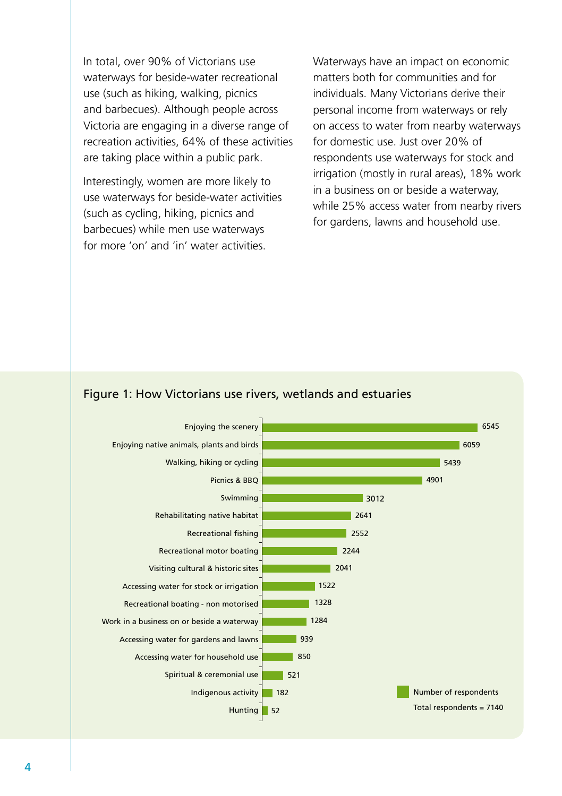In total, over 90% of Victorians use waterways for beside-water recreational use (such as hiking, walking, picnics and barbecues). Although people across Victoria are engaging in a diverse range of recreation activities, 64% of these activities are taking place within a public park.

Interestingly, women are more likely to use waterways for beside-water activities (such as cycling, hiking, picnics and barbecues) while men use waterways for more 'on' and 'in' water activities.

Waterways have an impact on economic matters both for communities and for individuals. Many Victorians derive their personal income from waterways or rely on access to water from nearby waterways for domestic use. Just over 20% of respondents use waterways for stock and irrigation (mostly in rural areas), 18% work in a business on or beside a waterway, while 25% access water from nearby rivers for gardens, lawns and household use.

#### Figure 1: How Victorians use rivers, wetlands and estuaries

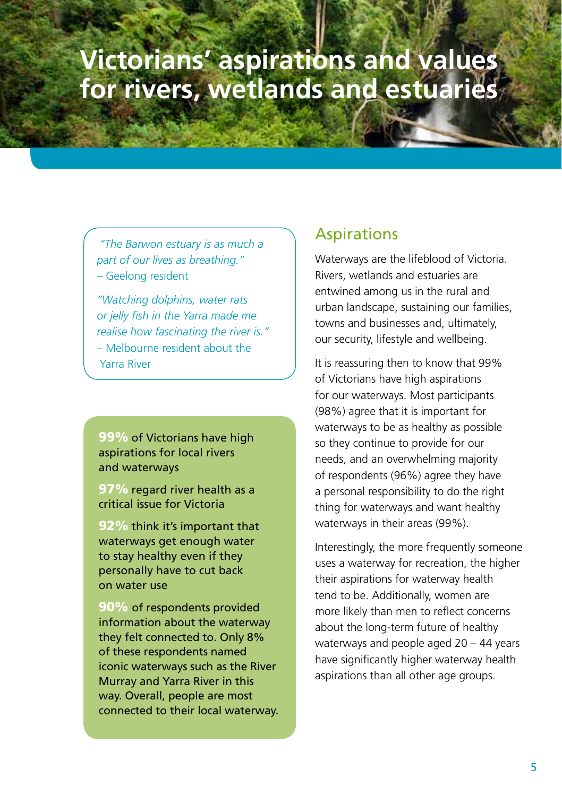## **Victorians' aspirations and values for rivers, wetlands and estuaries**

*"The Barwon estuary is as much a part of our lives as breathing."*  – Geelong resident

*"Watching dolphins, water rats or jelly fish in the Yarra made me realise how fascinating the river is."*  – Melbourne resident about the Yarra River

99% of Victorians have high aspirations for local rivers and waterways

97% regard river health as a critical issue for Victoria

92% think it's important that waterways get enough water to stay healthy even if they personally have to cut back on water use

90% of respondents provided information about the waterway they felt connected to. Only 8% of these respondents named iconic waterways such as the River Murray and Yarra River in this way. Overall, people are most connected to their local waterway.

#### Aspirations

Waterways are the lifeblood of Victoria. Rivers, wetlands and estuaries are entwined among us in the rural and urban landscape, sustaining our families, towns and businesses and, ultimately our security, lifestyle and wellbeing.

It is reassuring then to know that 99% of Victorians have high aspirations for our waterways. Most participants (98%) agree that it is important for waterways to be as healthy as possible so they continue to provide for our needs, and an overwhelming majority of respondents (96%) agree they have a personal responsibility to do the right thing for waterways and want healthy waterways in their areas (99%).

Interestingly, the more frequently someone uses a waterway for recreation, the higher their aspirations for waterway health tend to be. Additionally, women are more likely than men to reflect concerns about the long-term future of healthy waterways and people aged 20 – 44 years have significantly higher waterway health aspirations than all other age groups.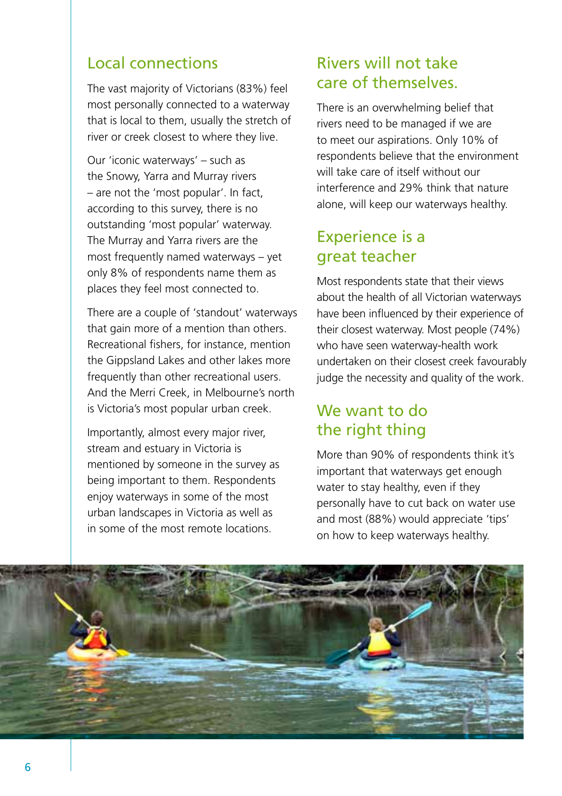### Local connections

The vast majority of Victorians (83%) feel most personally connected to a waterway that is local to them, usually the stretch of river or creek closest to where they live.

Our 'iconic waterways' – such as the Snowy, Yarra and Murray rivers – are not the 'most popular'. In fact, according to this survey, there is no outstanding 'most popular' waterway. The Murray and Yarra rivers are the most frequently named waterways – yet only 8% of respondents name them as places they feel most connected to.

There are a couple of 'standout' waterways that gain more of a mention than others. Recreational fishers, for instance, mention the Gippsland Lakes and other lakes more frequently than other recreational users. And the Merri Creek, in Melbourne's north is Victoria's most popular urban creek.

Importantly, almost every major river, stream and estuary in Victoria is mentioned by someone in the survey as being important to them. Respondents enjoy waterways in some of the most urban landscapes in Victoria as well as in some of the most remote locations.

### Rivers will not take care of themselves.

There is an overwhelming belief that rivers need to be managed if we are to meet our aspirations. Only 10% of respondents believe that the environment will take care of itself without our interference and 29% think that nature alone, will keep our waterways healthy.

### Experience is a great teacher

Most respondents state that their views about the health of all Victorian waterways have been influenced by their experience of their closest waterway. Most people (74%) who have seen waterway-health work undertaken on their closest creek favourably judge the necessity and quality of the work.

### We want to do the right thing

More than 90% of respondents think it's important that waterways get enough water to stay healthy, even if they personally have to cut back on water use and most (88%) would appreciate 'tips' on how to keep waterways healthy.

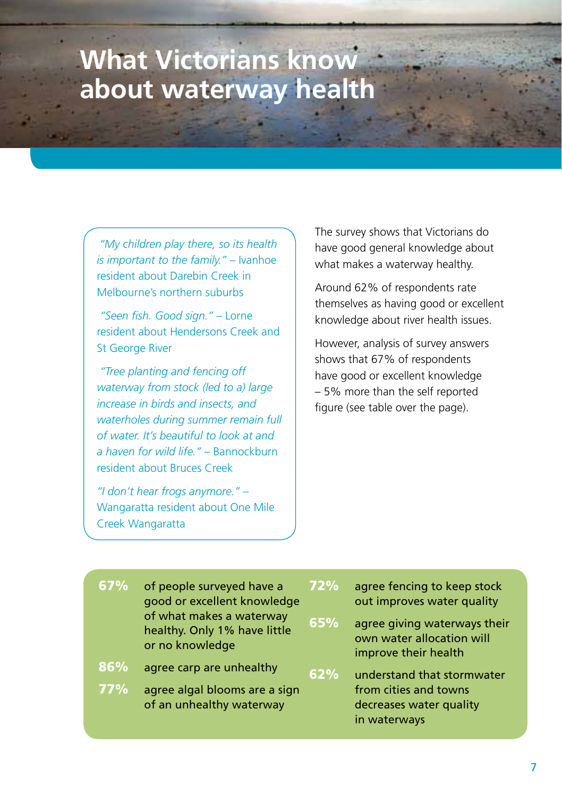# **What Victorians know about waterway health**

*"My children play there, so its health is important to the family."* – Ivanhoe resident about Darebin Creek in Melbourne's northern suburbs

 *"Seen fish. Good sign."* – Lorne resident about Hendersons Creek and St George River

 *"Tree planting and fencing off waterway from stock (led to a) large increase in birds and insects, and waterholes during summer remain full of water. It's beautiful to look at and a haven for wild life."* – Bannockburn resident about Bruces Creek

*"I don't hear frogs anymore."* – Wangaratta resident about One Mile Creek Wangaratta

The survey shows that Victorians do have good general knowledge about what makes a waterway healthy.

Around 62% of respondents rate themselves as having good or excellent knowledge about river health issues.

However, analysis of survey answers shows that 67% of respondents have good or excellent knowledge – 5% more than the self reported figure (see table over the page).

| 67% | of people surveyed have a<br>good or excellent knowledge<br>of what makes a waterway<br>healthy. Only 1% have little<br>or no knowledge | 72<br>65 |
|-----|-----------------------------------------------------------------------------------------------------------------------------------------|----------|
| 86% | agree carp are unhealthy                                                                                                                |          |
| 77% | agree algal blooms are a sign<br>of an unhealthy waterway                                                                               |          |

 $\%$  agree fencing to keep stock out improves water quality

agree giving waterways their own water allocation will improve their health

 $\%$  understand that stormwater from cities and towns decreases water quality in waterways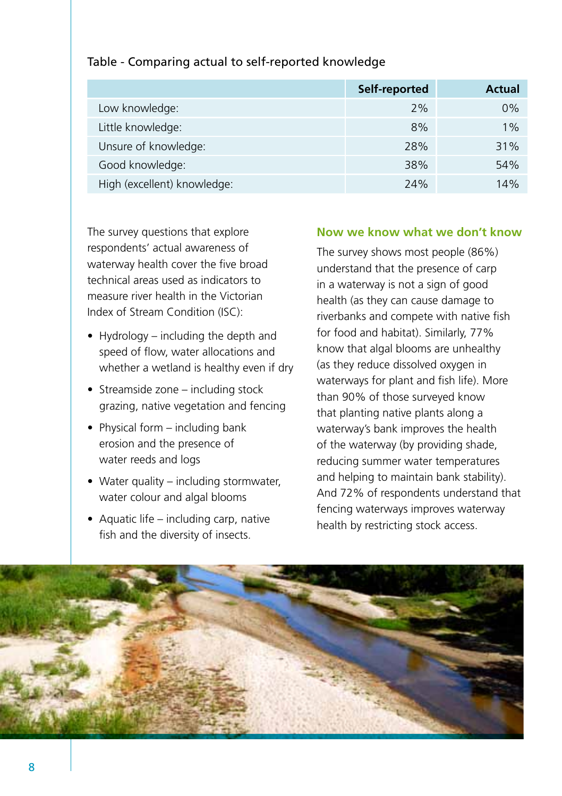|                             | Self-reported | Actual |
|-----------------------------|---------------|--------|
| Low knowledge:              | 2%            | 0%     |
| Little knowledge:           | 8%            | 1%     |
| Unsure of knowledge:        | 28%           | 31%    |
| Good knowledge:             | 38%           | 54%    |
| High (excellent) knowledge: | 24%           | 14%    |

#### Table - Comparing actual to self-reported knowledge

The survey questions that explore respondents' actual awareness of waterway health cover the five broad technical areas used as indicators to measure river health in the Victorian Index of Stream Condition (ISC):

- Hydrology including the depth and speed of flow, water allocations and whether a wetland is healthy even if dry
- Streamside zone including stock grazing, native vegetation and fencing
- Physical form including bank erosion and the presence of water reeds and logs
- Water quality including stormwater, water colour and algal blooms
- Aquatic life including carp, native fish and the diversity of insects.

#### **Now we know what we don't know**

The survey shows most people (86%) understand that the presence of carp in a waterway is not a sign of good health (as they can cause damage to riverbanks and compete with native fish for food and habitat). Similarly, 77% know that algal blooms are unhealthy (as they reduce dissolved oxygen in waterways for plant and fish life). More than 90% of those surveyed know that planting native plants along a waterway's bank improves the health of the waterway (by providing shade, reducing summer water temperatures and helping to maintain bank stability). And 72% of respondents understand that fencing waterways improves waterway health by restricting stock access.

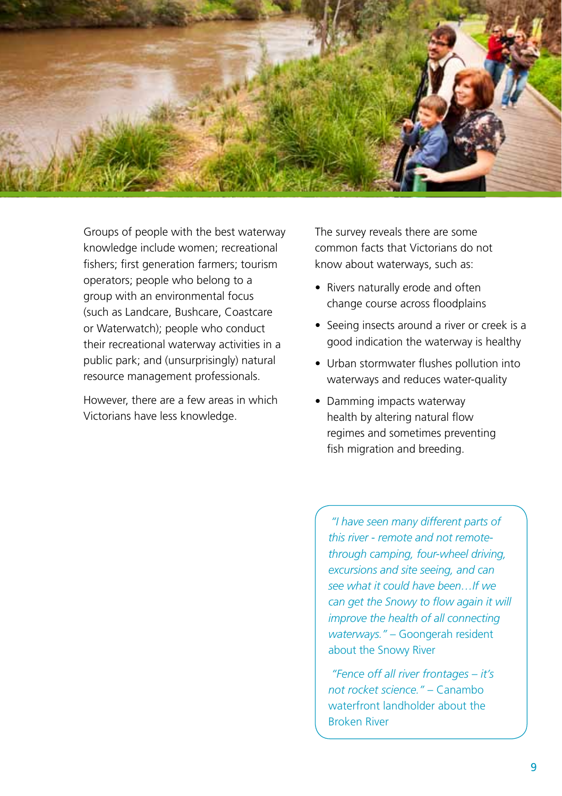

Groups of people with the best waterway knowledge include women; recreational fishers; first generation farmers; tourism operators; people who belong to a group with an environmental focus (such as Landcare, Bushcare, Coastcare or Waterwatch); people who conduct their recreational waterway activities in a public park; and (unsurprisingly) natural resource management professionals.

However, there are a few areas in which Victorians have less knowledge.

The survey reveals there are some common facts that Victorians do not know about waterways, such as:

- Rivers naturally erode and often change course across floodplains
- Seeing insects around a river or creek is a good indication the waterway is healthy
- Urban stormwater flushes pollution into waterways and reduces water-quality
- Damming impacts waterway health by altering natural flow regimes and sometimes preventing fish migration and breeding.

*"I have seen many different parts of this river - remote and not remotethrough camping, four-wheel driving, excursions and site seeing, and can see what it could have been…If we can get the Snowy to flow again it will improve the health of all connecting waterways."* – Goongerah resident about the Snowy River

 *"Fence off all river frontages – it's not rocket science."* – Canambo waterfront landholder about the Broken River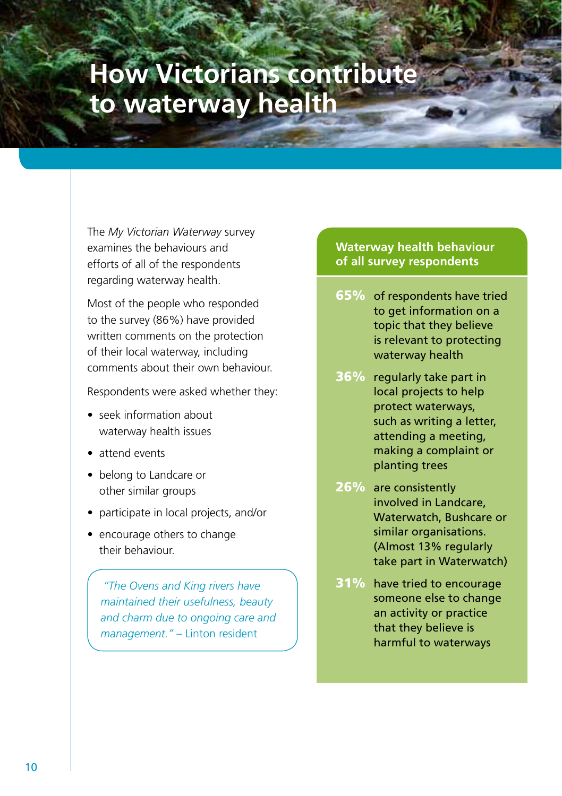# **How Victorians contribute to waterway health**

The *My Victorian Waterway* survey examines the behaviours and efforts of all of the respondents regarding waterway health.

Most of the people who responded to the survey (86%) have provided written comments on the protection of their local waterway, including comments about their own behaviour.

Respondents were asked whether they:

- seek information about waterway health issues
- attend events
- belong to Landcare or other similar groups
- participate in local projects, and/or
- encourage others to change their behaviour.

*"The Ovens and King rivers have maintained their usefulness, beauty and charm due to ongoing care and management."* – Linton resident

#### **Waterway health behaviour of all survey respondents**

- 65% of respondents have tried to get information on a topic that they believe is relevant to protecting waterway health
- 36% regularly take part in local projects to help protect waterways, such as writing a letter, attending a meeting, making a complaint or planting trees
- 26% are consistently involved in Landcare, Waterwatch, Bushcare or similar organisations. (Almost 13% regularly take part in Waterwatch)
- 31% have tried to encourage someone else to change an activity or practice that they believe is harmful to waterways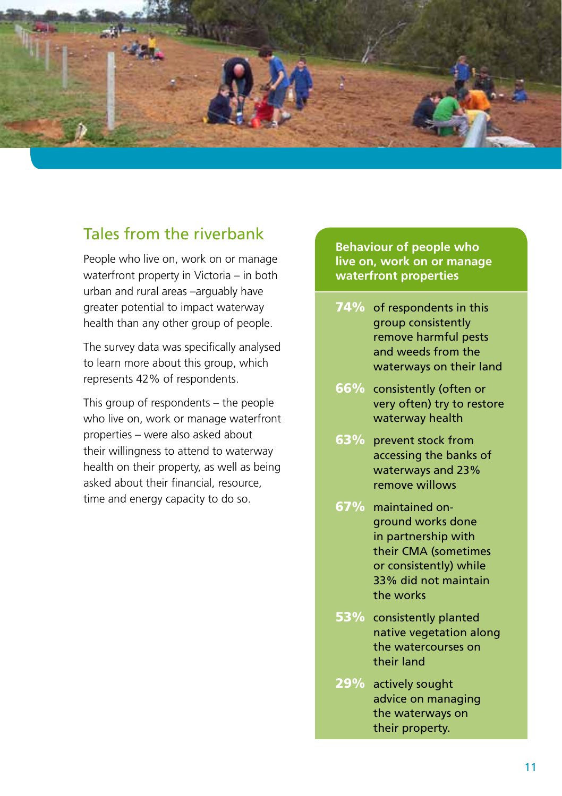

### Tales from the riverbank

People who live on, work on or manage waterfront property in Victoria – in both urban and rural areas –arguably have greater potential to impact waterway health than any other group of people.

The survey data was specifically analysed to learn more about this group, which represents 42% of respondents.

This group of respondents – the people who live on, work or manage waterfront properties – were also asked about their willingness to attend to waterway health on their property, as well as being asked about their financial, resource, time and energy capacity to do so.

**Behaviour of people who live on, work on or manage waterfront properties**

- 74% of respondents in this group consistently remove harmful pests and weeds from the waterways on their land
- 66% consistently (often or very often) try to restore waterway health
- 63% prevent stock from accessing the banks of waterways and 23% remove willows
- 67% maintained onground works done in partnership with their CMA (sometimes or consistently) while 33% did not maintain the works
- 53% consistently planted native vegetation along the watercourses on their land
- 29% actively sought advice on managing the waterways on their property.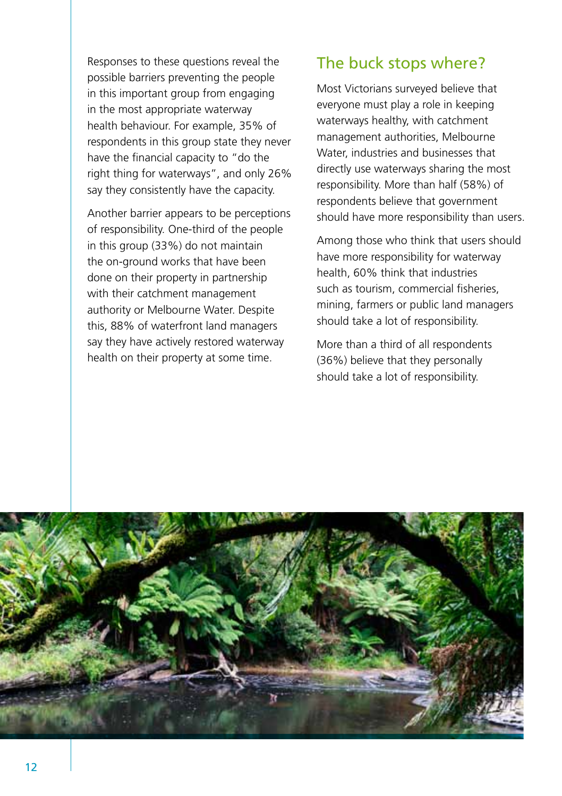Responses to these questions reveal the possible barriers preventing the people in this important group from engaging in the most appropriate waterway health behaviour. For example, 35% of respondents in this group state they never have the financial capacity to "do the right thing for waterways", and only 26% say they consistently have the capacity.

Another barrier appears to be perceptions of responsibility. One-third of the people in this group (33%) do not maintain the on-ground works that have been done on their property in partnership with their catchment management authority or Melbourne Water. Despite this, 88% of waterfront land managers say they have actively restored waterway health on their property at some time.

### The buck stops where?

Most Victorians surveyed believe that everyone must play a role in keeping waterways healthy, with catchment management authorities, Melbourne Water, industries and businesses that directly use waterways sharing the most responsibility. More than half (58%) of respondents believe that government should have more responsibility than users.

Among those who think that users should have more responsibility for waterway health, 60% think that industries such as tourism, commercial fisheries, mining, farmers or public land managers should take a lot of responsibility.

More than a third of all respondents (36%) believe that they personally should take a lot of responsibility.

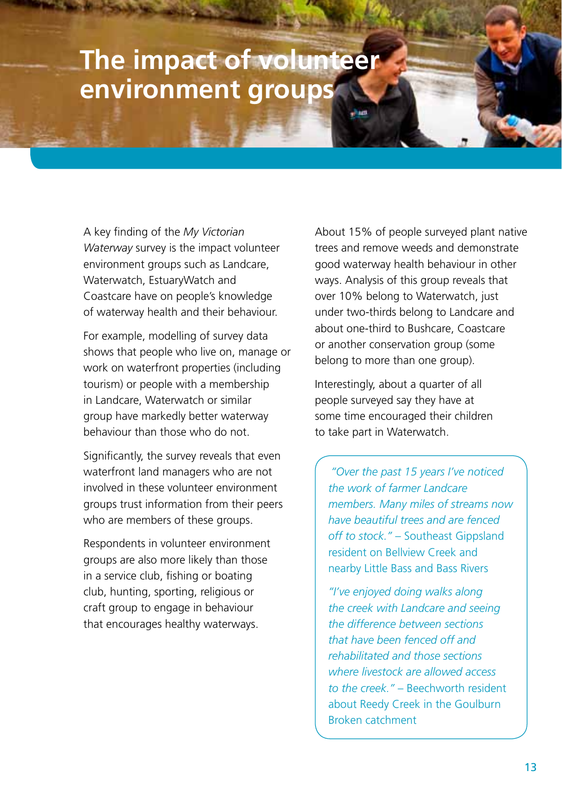## **The impact of volunteer environment groups**

A key finding of the *My Victorian Waterway* survey is the impact volunteer environment groups such as Landcare, Waterwatch, EstuaryWatch and Coastcare have on people's knowledge of waterway health and their behaviour.

For example, modelling of survey data shows that people who live on, manage or work on waterfront properties (including tourism) or people with a membership in Landcare, Waterwatch or similar group have markedly better waterway behaviour than those who do not.

Significantly, the survey reveals that even waterfront land managers who are not involved in these volunteer environment groups trust information from their peers who are members of these groups.

Respondents in volunteer environment groups are also more likely than those in a service club, fishing or boating club, hunting, sporting, religious or craft group to engage in behaviour that encourages healthy waterways.

About 15% of people surveyed plant native trees and remove weeds and demonstrate good waterway health behaviour in other ways. Analysis of this group reveals that over 10% belong to Waterwatch, just under two-thirds belong to Landcare and about one-third to Bushcare, Coastcare or another conservation group (some belong to more than one group).

Interestingly, about a quarter of all people surveyed say they have at some time encouraged their children to take part in Waterwatch.

*"Over the past 15 years I've noticed the work of farmer Landcare members. Many miles of streams now have beautiful trees and are fenced off to stock."* – Southeast Gippsland resident on Bellview Creek and nearby Little Bass and Bass Rivers

*"I've enjoyed doing walks along the creek with Landcare and seeing the difference between sections that have been fenced off and rehabilitated and those sections where livestock are allowed access to the creek."* – Beechworth resident about Reedy Creek in the Goulburn Broken catchment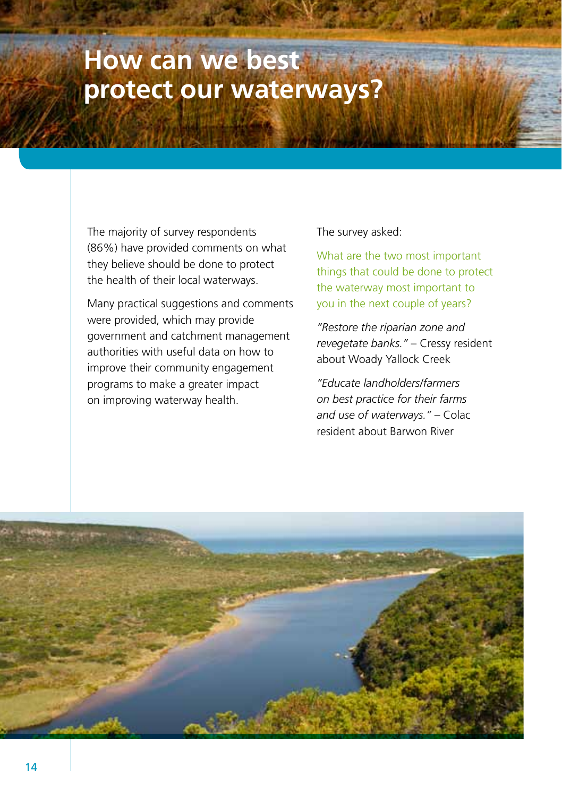# **How can we best protect our waterways?**

The majority of survey respondents (86%) have provided comments on what they believe should be done to protect the health of their local waterways.

Many practical suggestions and comments were provided, which may provide government and catchment management authorities with useful data on how to improve their community engagement programs to make a greater impact on improving waterway health.

#### The survey asked:

What are the two most important things that could be done to protect the waterway most important to you in the next couple of years?

*"Restore the riparian zone and revegetate banks."* – Cressy resident about Woady Yallock Creek

*"Educate landholders/farmers on best practice for their farms and use of waterways."* – Colac resident about Barwon River

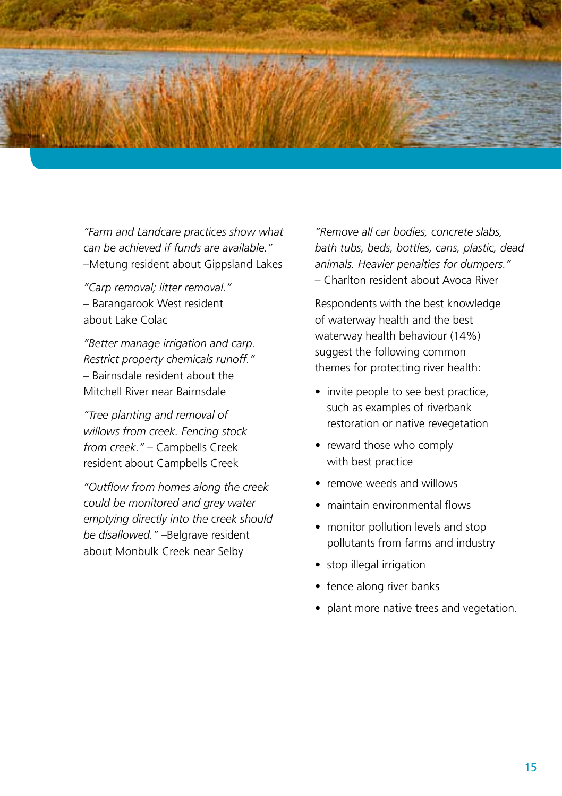

*"Farm and Landcare practices show what can be achieved if funds are available."*  –Metung resident about Gippsland Lakes

*"Carp removal; litter removal."*  – Barangarook West resident about Lake Colac

*"Better manage irrigation and carp. Restrict property chemicals runoff."*  – Bairnsdale resident about the Mitchell River near Bairnsdale

*"Tree planting and removal of willows from creek. Fencing stock from creek."* – Campbells Creek resident about Campbells Creek

*"Outflow from homes along the creek could be monitored and grey water emptying directly into the creek should be disallowed."* –Belgrave resident about Monbulk Creek near Selby

*"Remove all car bodies, concrete slabs, bath tubs, beds, bottles, cans, plastic, dead animals. Heavier penalties for dumpers."*  – Charlton resident about Avoca River

Respondents with the best knowledge of waterway health and the best waterway health behaviour (14%) suggest the following common themes for protecting river health:

- invite people to see best practice, such as examples of riverbank restoration or native revegetation
- reward those who comply with best practice
- remove weeds and willows
- maintain environmental flows
- monitor pollution levels and stop pollutants from farms and industry
- stop illegal irrigation
- fence along river banks
- plant more native trees and vegetation.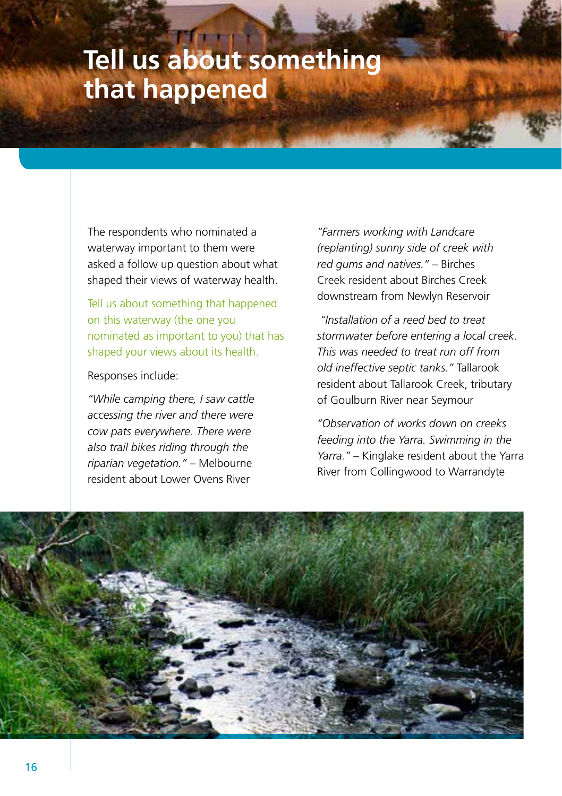# **Tell us about something that happened**

The respondents who nominated a waterway important to them were asked a follow up question about what shaped their views of waterway health.

Tell us about something that happened on this waterway (the one you nominated as important to you) that has shaped your views about its health.

#### Responses include:

*"While camping there, I saw cattle accessing the river and there were cow pats everywhere. There were also trail bikes riding through the riparian vegetation."* – Melbourne resident about Lower Ovens River

*"Farmers working with Landcare (replanting) sunny side of creek with red gums and natives."* – Birches Creek resident about Birches Creek downstream from Newlyn Reservoir

 *"Installation of a reed bed to treat stormwater before entering a local creek. This was needed to treat run off from old ineffective septic tanks."* Tallarook resident about Tallarook Creek, tributary of Goulburn River near Seymour

*"Observation of works down on creeks feeding into the Yarra. Swimming in the Yarra."* – Kinglake resident about the Yarra River from Collingwood to Warrandyte

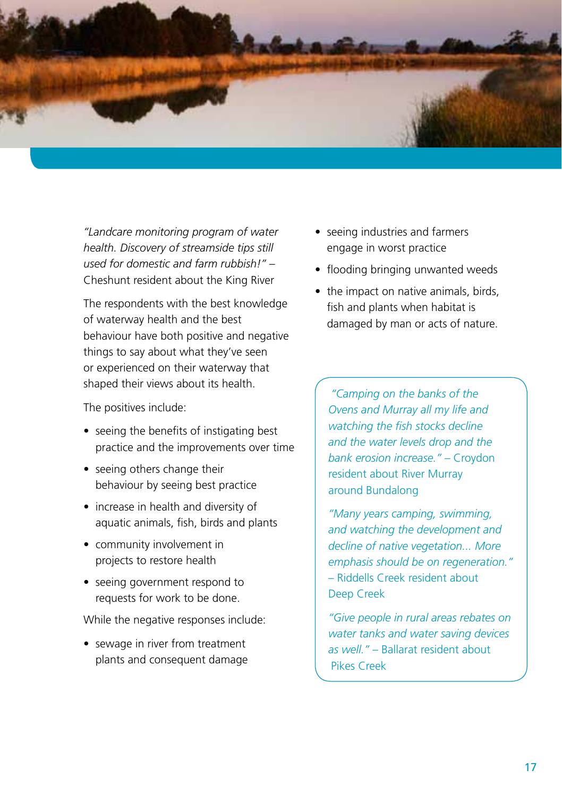

*"Landcare monitoring program of water health. Discovery of streamside tips still used for domestic and farm rubbish!"* – Cheshunt resident about the King River

The respondents with the best knowledge of waterway health and the best behaviour have both positive and negative things to say about what they've seen or experienced on their waterway that shaped their views about its health.

The positives include:

- seeing the benefits of instigating best practice and the improvements over time
- seeing others change their behaviour by seeing best practice
- increase in health and diversity of aquatic animals, fish, birds and plants
- community involvement in projects to restore health
- seeing government respond to requests for work to be done.

While the negative responses include:

• sewage in river from treatment plants and consequent damage

- seeing industries and farmers engage in worst practice
- flooding bringing unwanted weeds
- the impact on native animals, birds, fish and plants when habitat is damaged by man or acts of nature.

*"Camping on the banks of the Ovens and Murray all my life and watching the fish stocks decline and the water levels drop and the bank erosion increase."* – Croydon resident about River Murray around Bundalong

*"Many years camping, swimming, and watching the development and decline of native vegetation... More emphasis should be on regeneration."*  – Riddells Creek resident about Deep Creek

*"Give people in rural areas rebates on water tanks and water saving devices as well."* – Ballarat resident about Pikes Creek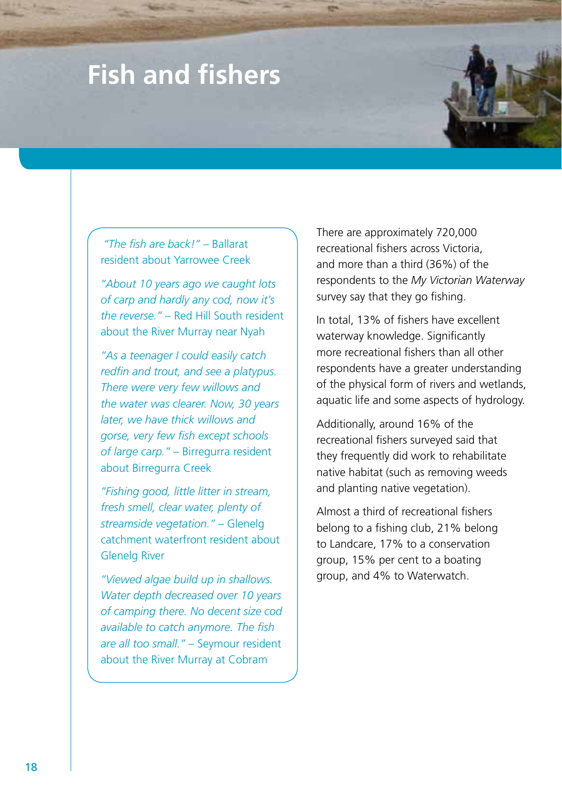# **Fish and fishers**

*"The fish are back!"* – Ballarat resident about Yarrowee Creek

*"About 10 years ago we caught lots of carp and hardly any cod, now it's the reverse."* – Red Hill South resident about the River Murray near Nyah

*"As a teenager I could easily catch redfin and trout, and see a platypus. There were very few willows and the water was clearer. Now, 30 years later, we have thick willows and gorse, very few fish except schools of large carp."* – Birregurra resident about Birregurra Creek

*"Fishing good, little litter in stream, fresh smell, clear water, plenty of streamside vegetation."* – Glenelg catchment waterfront resident about Glenelg River

*"Viewed algae build up in shallows. Water depth decreased over 10 years of camping there. No decent size cod available to catch anymore. The fish are all too small."* – Seymour resident about the River Murray at Cobram

There are approximately 720,000 recreational fishers across Victoria, and more than a third (36%) of the respondents to the *My Victorian Waterway* survey say that they go fishing.

In total, 13% of fishers have excellent waterway knowledge. Significantly more recreational fishers than all other respondents have a greater understanding of the physical form of rivers and wetlands, aquatic life and some aspects of hydrology.

Additionally, around 16% of the recreational fishers surveyed said that they frequently did work to rehabilitate native habitat (such as removing weeds and planting native vegetation).

Almost a third of recreational fishers belong to a fishing club, 21% belong to Landcare, 17% to a conservation group, 15% per cent to a boating group, and 4% to Waterwatch.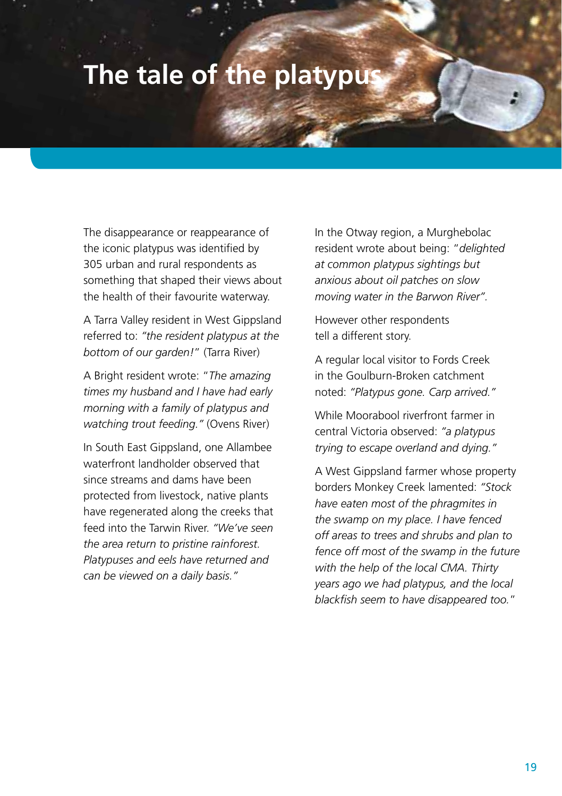### **The tale of the platypus**

The disappearance or reappearance of the iconic platypus was identified by 305 urban and rural respondents as something that shaped their views about the health of their favourite waterway.

A Tarra Valley resident in West Gippsland referred to: *"the resident platypus at the bottom of our garden!*" (Tarra River)

A Bright resident wrote: "*The amazing times my husband and I have had early morning with a family of platypus and watching trout feeding."* (Ovens River)

In South East Gippsland, one Allambee waterfront landholder observed that since streams and dams have been protected from livestock, native plants have regenerated along the creeks that feed into the Tarwin River. *"We've seen the area return to pristine rainforest. Platypuses and eels have returned and can be viewed on a daily basis."* 

In the Otway region, a Murghebolac resident wrote about being: "*delighted at common platypus sightings but anxious about oil patches on slow moving water in the Barwon River".* 

However other respondents tell a different story.

A regular local visitor to Fords Creek in the Goulburn-Broken catchment noted: *"Platypus gone. Carp arrived."* 

While Moorabool riverfront farmer in central Victoria observed: *"a platypus trying to escape overland and dying."* 

A West Gippsland farmer whose property borders Monkey Creek lamented: *"Stock have eaten most of the phragmites in the swamp on my place. I have fenced off areas to trees and shrubs and plan to fence off most of the swamp in the future with the help of the local CMA. Thirty years ago we had platypus, and the local blackfish seem to have disappeared too.*"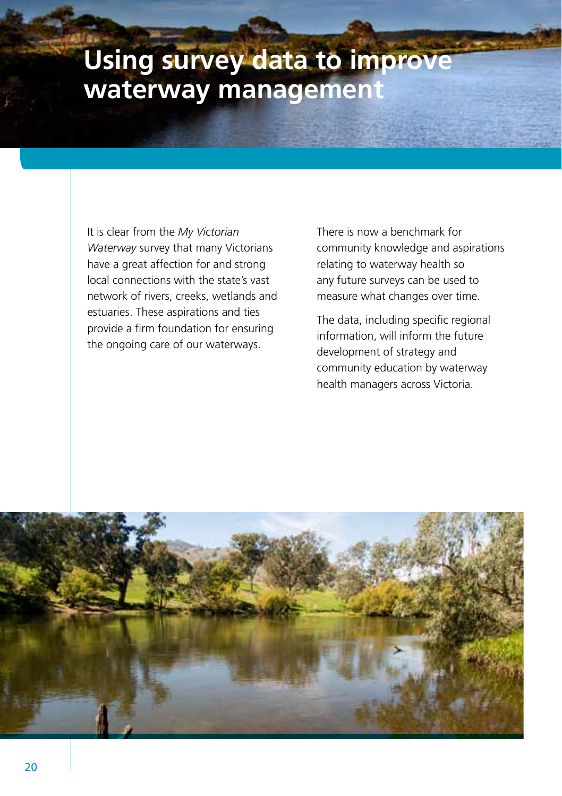# **Using survey data to improve waterway management**

It is clear from the *My Victorian Waterway* survey that many Victorians have a great affection for and strong local connections with the state's vast network of rivers, creeks, wetlands and estuaries. These aspirations and ties provide a firm foundation for ensuring the ongoing care of our waterways.

There is now a benchmark for community knowledge and aspirations relating to waterway health so any future surveys can be used to measure what changes over time.

The data, including specific regional information, will inform the future development of strategy and community education by waterway health managers across Victoria.

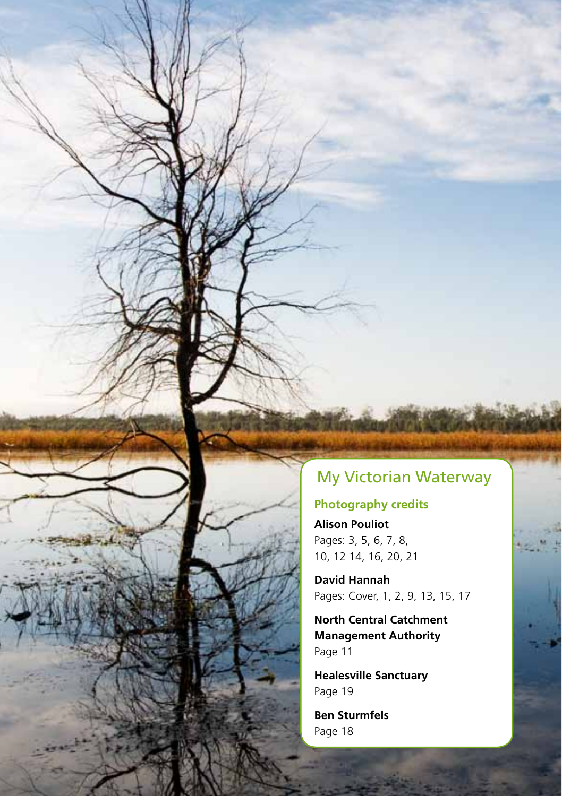### My Victorian Waterway

#### **Photography credits**

**Alison Pouliot** Pages: 3, 5, 6, 7, 8, 10, 12 14, 16, 20, 21

**David Hannah** Pages: Cover, 1, 2, 9, 13, 15, 17

**North Central Catchment Management Authority** Page 11

**Healesville Sanctuary** Page 19

**Ben Sturmfels** Page 18